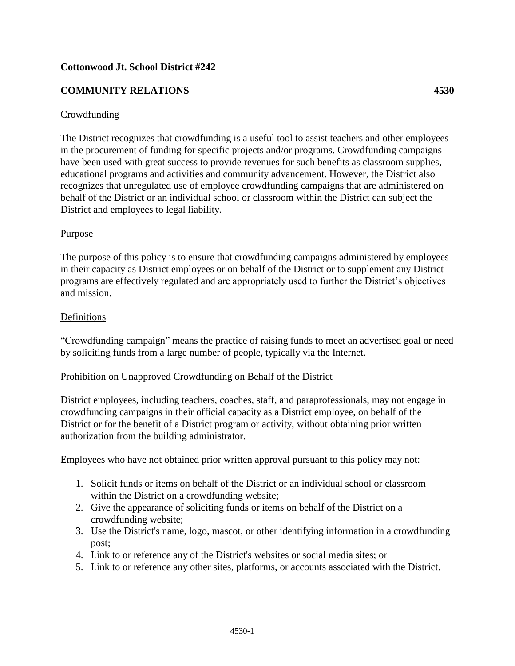#### **Cottonwood Jt. School District #242**

#### **COMMUNITY RELATIONS 4530**

#### Crowdfunding

The District recognizes that crowdfunding is a useful tool to assist teachers and other employees in the procurement of funding for specific projects and/or programs. Crowdfunding campaigns have been used with great success to provide revenues for such benefits as classroom supplies, educational programs and activities and community advancement. However, the District also recognizes that unregulated use of employee crowdfunding campaigns that are administered on behalf of the District or an individual school or classroom within the District can subject the District and employees to legal liability.

#### Purpose

The purpose of this policy is to ensure that crowdfunding campaigns administered by employees in their capacity as District employees or on behalf of the District or to supplement any District programs are effectively regulated and are appropriately used to further the District's objectives and mission.

#### Definitions

"Crowdfunding campaign" means the practice of raising funds to meet an advertised goal or need by soliciting funds from a large number of people, typically via the Internet.

#### Prohibition on Unapproved Crowdfunding on Behalf of the District

District employees, including teachers, coaches, staff, and paraprofessionals, may not engage in crowdfunding campaigns in their official capacity as a District employee, on behalf of the District or for the benefit of a District program or activity, without obtaining prior written authorization from the building administrator.

Employees who have not obtained prior written approval pursuant to this policy may not:

- 1. Solicit funds or items on behalf of the District or an individual school or classroom within the District on a crowdfunding website;
- 2. Give the appearance of soliciting funds or items on behalf of the District on a crowdfunding website;
- 3. Use the District's name, logo, mascot, or other identifying information in a crowdfunding post;
- 4. Link to or reference any of the District's websites or social media sites; or
- 5. Link to or reference any other sites, platforms, or accounts associated with the District.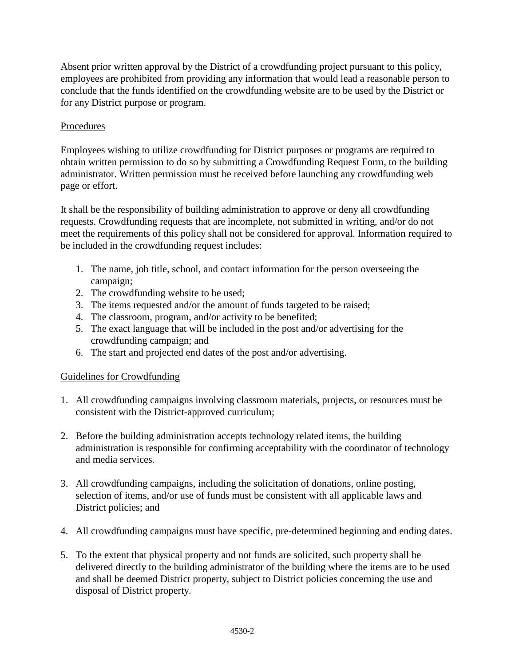Absent prior written approval by the District of a crowdfunding project pursuant to this policy, employees are prohibited from providing any information that would lead a reasonable person to conclude that the funds identified on the crowdfunding website are to be used by the District or for any District purpose or program.

### Procedures

Employees wishing to utilize crowdfunding for District purposes or programs are required to obtain written permission to do so by submitting a Crowdfunding Request Form, to the building administrator. Written permission must be received before launching any crowdfunding web page or effort.

It shall be the responsibility of building administration to approve or deny all crowdfunding requests. Crowdfunding requests that are incomplete, not submitted in writing, and/or do not meet the requirements of this policy shall not be considered for approval. Information required to be included in the crowdfunding request includes:

- 1. The name, job title, school, and contact information for the person overseeing the campaign;
- 2. The crowdfunding website to be used;
- 3. The items requested and/or the amount of funds targeted to be raised;
- 4. The classroom, program, and/or activity to be benefited;
- 5. The exact language that will be included in the post and/or advertising for the crowdfunding campaign; and
- 6. The start and projected end dates of the post and/or advertising.

### Guidelines for Crowdfunding

- 1. All crowdfunding campaigns involving classroom materials, projects, or resources must be consistent with the District-approved curriculum;
- 2. Before the building administration accepts technology related items, the building administration is responsible for confirming acceptability with the coordinator of technology and media services.
- 3. All crowdfunding campaigns, including the solicitation of donations, online posting, selection of items, and/or use of funds must be consistent with all applicable laws and District policies; and
- 4. All crowdfunding campaigns must have specific, pre-determined beginning and ending dates.
- 5. To the extent that physical property and not funds are solicited, such property shall be delivered directly to the building administrator of the building where the items are to be used and shall be deemed District property, subject to District policies concerning the use and disposal of District property.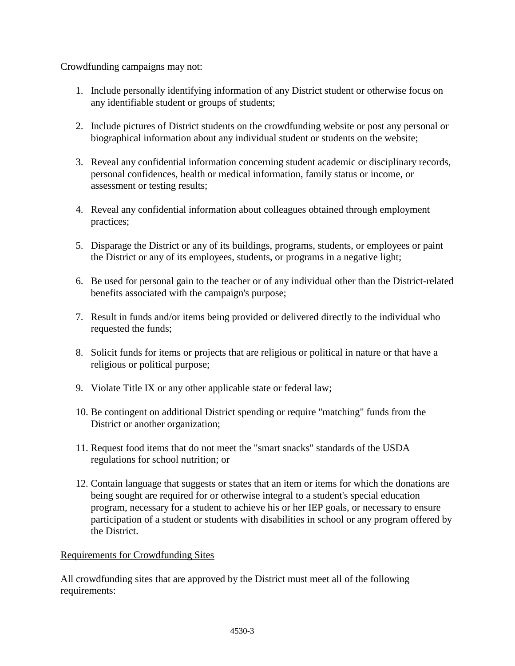Crowdfunding campaigns may not:

- 1. Include personally identifying information of any District student or otherwise focus on any identifiable student or groups of students;
- 2. Include pictures of District students on the crowdfunding website or post any personal or biographical information about any individual student or students on the website;
- 3. Reveal any confidential information concerning student academic or disciplinary records, personal confidences, health or medical information, family status or income, or assessment or testing results;
- 4. Reveal any confidential information about colleagues obtained through employment practices;
- 5. Disparage the District or any of its buildings, programs, students, or employees or paint the District or any of its employees, students, or programs in a negative light;
- 6. Be used for personal gain to the teacher or of any individual other than the District-related benefits associated with the campaign's purpose;
- 7. Result in funds and/or items being provided or delivered directly to the individual who requested the funds;
- 8. Solicit funds for items or projects that are religious or political in nature or that have a religious or political purpose;
- 9. Violate Title IX or any other applicable state or federal law;
- 10. Be contingent on additional District spending or require "matching" funds from the District or another organization;
- 11. Request food items that do not meet the "smart snacks" standards of the USDA regulations for school nutrition; or
- 12. Contain language that suggests or states that an item or items for which the donations are being sought are required for or otherwise integral to a student's special education program, necessary for a student to achieve his or her IEP goals, or necessary to ensure participation of a student or students with disabilities in school or any program offered by the District.

# Requirements for Crowdfunding Sites

All crowdfunding sites that are approved by the District must meet all of the following requirements: